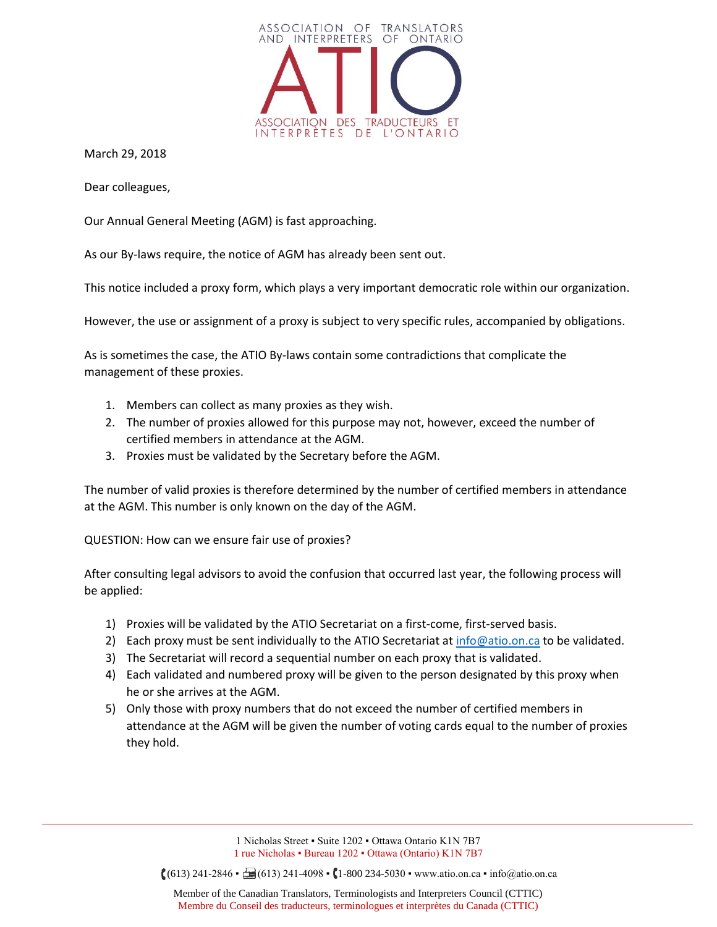

March 29, 2018

Dear colleagues,

Our Annual General Meeting (AGM) is fast approaching.

As our By-laws require, the notice of AGM has already been sent out.

This notice included a proxy form, which plays a very important democratic role within our organization.

However, the use or assignment of a proxy is subject to very specific rules, accompanied by obligations.

As is sometimes the case, the ATIO By-laws contain some contradictions that complicate the management of these proxies.

- 1. Members can collect as many proxies as they wish.
- 2. The number of proxies allowed for this purpose may not, however, exceed the number of certified members in attendance at the AGM.
- 3. Proxies must be validated by the Secretary before the AGM.

The number of valid proxies is therefore determined by the number of certified members in attendance at the AGM. This number is only known on the day of the AGM.

QUESTION: How can we ensure fair use of proxies?

After consulting legal advisors to avoid the confusion that occurred last year, the following process will be applied:

- 1) Proxies will be validated by the ATIO Secretariat on a first-come, first-served basis.
- 2) Each proxy must be sent individually to the ATIO Secretariat a[t info@atio.on.ca](mailto:???@atio.on.ca) to be validated.
- 3) The Secretariat will record a sequential number on each proxy that is validated.
- 4) Each validated and numbered proxy will be given to the person designated by this proxy when he or she arrives at the AGM.
- 5) Only those with proxy numbers that do not exceed the number of certified members in attendance at the AGM will be given the number of voting cards equal to the number of proxies they hold.

1 Nicholas Street ▪ Suite 1202 ▪ Ottawa Ontario K1N 7B7 1 rue Nicholas ▪ Bureau 1202 ▪ Ottawa (Ontario) K1N 7B7

 $(613)$  241-2846 •  $\Box$  (613) 241-4098 • (1-800 234-5030 • www.atio.on.ca • info@atio.on.ca

Member of the Canadian Translators, Terminologists and Interpreters Council (CTTIC) Membre du Conseil des traducteurs, terminologues et interprètes du Canada (CTTIC)